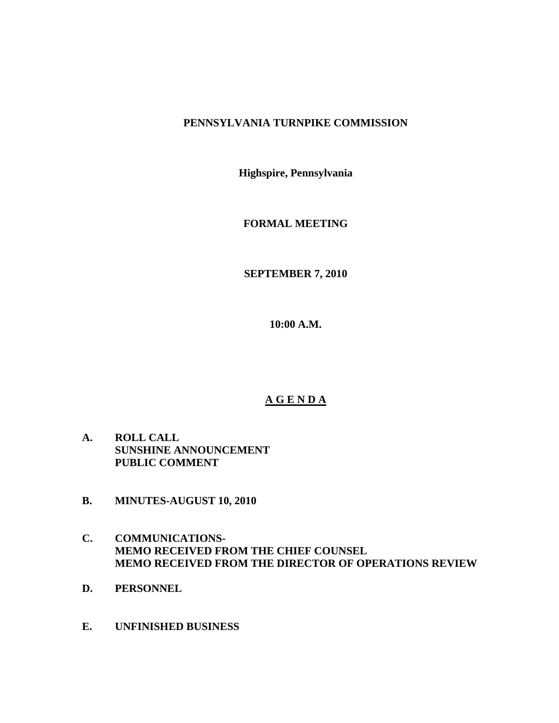## **PENNSYLVANIA TURNPIKE COMMISSION**

**Highspire, Pennsylvania** 

**FORMAL MEETING** 

**SEPTEMBER 7, 2010** 

**10:00 A.M.** 

# **A G E N D A**

- **A. ROLL CALL SUNSHINE ANNOUNCEMENT PUBLIC COMMENT**
- **B. MINUTES-AUGUST 10, 2010**
- **C. COMMUNICATIONS-MEMO RECEIVED FROM THE CHIEF COUNSEL MEMO RECEIVED FROM THE DIRECTOR OF OPERATIONS REVIEW**
- **D. PERSONNEL**
- **E. UNFINISHED BUSINESS**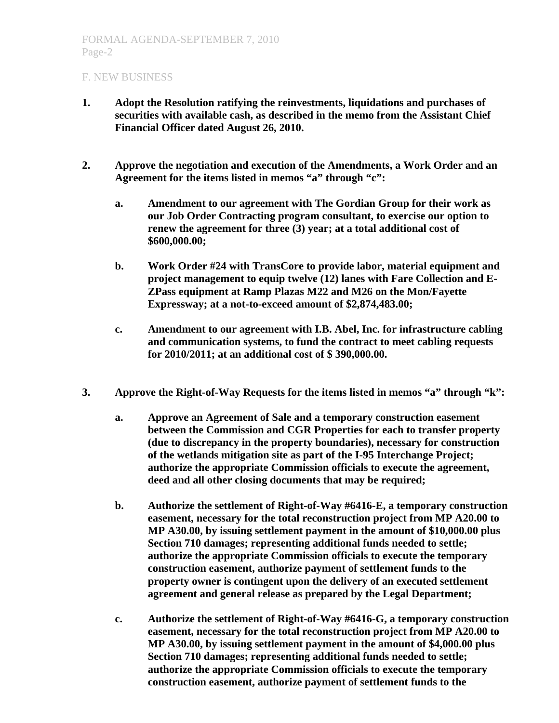- **1. Adopt the Resolution ratifying the reinvestments, liquidations and purchases of securities with available cash, as described in the memo from the Assistant Chief Financial Officer dated August 26, 2010.**
- **2. Approve the negotiation and execution of the Amendments, a Work Order and an Agreement for the items listed in memos "a" through "c":** 
	- **a. Amendment to our agreement with The Gordian Group for their work as our Job Order Contracting program consultant, to exercise our option to renew the agreement for three (3) year; at a total additional cost of \$600,000.00;**
	- **b. Work Order #24 with TransCore to provide labor, material equipment and project management to equip twelve (12) lanes with Fare Collection and E-ZPass equipment at Ramp Plazas M22 and M26 on the Mon/Fayette Expressway; at a not-to-exceed amount of \$2,874,483.00;**
	- **c. Amendment to our agreement with I.B. Abel, Inc. for infrastructure cabling and communication systems, to fund the contract to meet cabling requests for 2010/2011; at an additional cost of \$ 390,000.00.**
- **3. Approve the Right-of-Way Requests for the items listed in memos "a" through "k":** 
	- **a. Approve an Agreement of Sale and a temporary construction easement between the Commission and CGR Properties for each to transfer property (due to discrepancy in the property boundaries), necessary for construction of the wetlands mitigation site as part of the I-95 Interchange Project; authorize the appropriate Commission officials to execute the agreement, deed and all other closing documents that may be required;**
	- **b. Authorize the settlement of Right-of-Way #6416-E, a temporary construction easement, necessary for the total reconstruction project from MP A20.00 to MP A30.00, by issuing settlement payment in the amount of \$10,000.00 plus Section 710 damages; representing additional funds needed to settle; authorize the appropriate Commission officials to execute the temporary construction easement, authorize payment of settlement funds to the property owner is contingent upon the delivery of an executed settlement agreement and general release as prepared by the Legal Department;**
	- **c. Authorize the settlement of Right-of-Way #6416-G, a temporary construction easement, necessary for the total reconstruction project from MP A20.00 to MP A30.00, by issuing settlement payment in the amount of \$4,000.00 plus Section 710 damages; representing additional funds needed to settle; authorize the appropriate Commission officials to execute the temporary construction easement, authorize payment of settlement funds to the**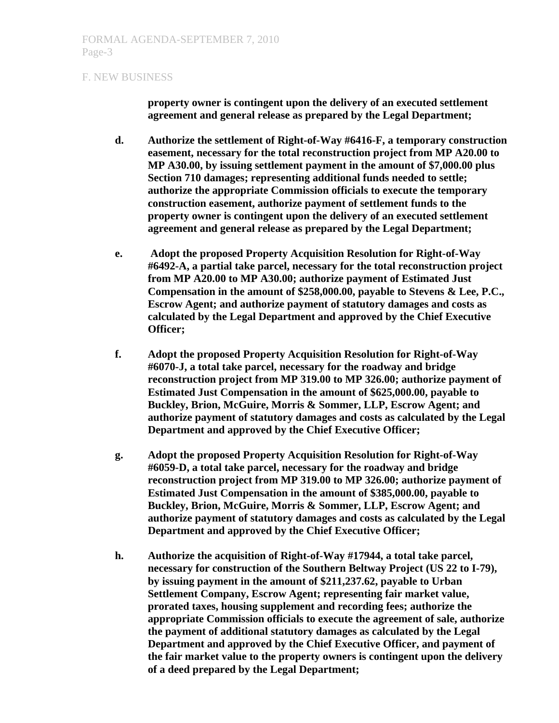**property owner is contingent upon the delivery of an executed settlement agreement and general release as prepared by the Legal Department;** 

- **d. Authorize the settlement of Right-of-Way #6416-F, a temporary construction easement, necessary for the total reconstruction project from MP A20.00 to MP A30.00, by issuing settlement payment in the amount of \$7,000.00 plus Section 710 damages; representing additional funds needed to settle; authorize the appropriate Commission officials to execute the temporary construction easement, authorize payment of settlement funds to the property owner is contingent upon the delivery of an executed settlement agreement and general release as prepared by the Legal Department;**
- **e. Adopt the proposed Property Acquisition Resolution for Right-of-Way #6492-A, a partial take parcel, necessary for the total reconstruction project from MP A20.00 to MP A30.00; authorize payment of Estimated Just Compensation in the amount of \$258,000.00, payable to Stevens & Lee, P.C., Escrow Agent; and authorize payment of statutory damages and costs as calculated by the Legal Department and approved by the Chief Executive Officer;**
- **f. Adopt the proposed Property Acquisition Resolution for Right-of-Way #6070-J, a total take parcel, necessary for the roadway and bridge reconstruction project from MP 319.00 to MP 326.00; authorize payment of Estimated Just Compensation in the amount of \$625,000.00, payable to Buckley, Brion, McGuire, Morris & Sommer, LLP, Escrow Agent; and authorize payment of statutory damages and costs as calculated by the Legal Department and approved by the Chief Executive Officer;**
- **g. Adopt the proposed Property Acquisition Resolution for Right-of-Way #6059-D, a total take parcel, necessary for the roadway and bridge reconstruction project from MP 319.00 to MP 326.00; authorize payment of Estimated Just Compensation in the amount of \$385,000.00, payable to Buckley, Brion, McGuire, Morris & Sommer, LLP, Escrow Agent; and authorize payment of statutory damages and costs as calculated by the Legal Department and approved by the Chief Executive Officer;**
- **h. Authorize the acquisition of Right-of-Way #17944, a total take parcel, necessary for construction of the Southern Beltway Project (US 22 to I-79), by issuing payment in the amount of \$211,237.62, payable to Urban Settlement Company, Escrow Agent; representing fair market value, prorated taxes, housing supplement and recording fees; authorize the appropriate Commission officials to execute the agreement of sale, authorize the payment of additional statutory damages as calculated by the Legal Department and approved by the Chief Executive Officer, and payment of the fair market value to the property owners is contingent upon the delivery of a deed prepared by the Legal Department;**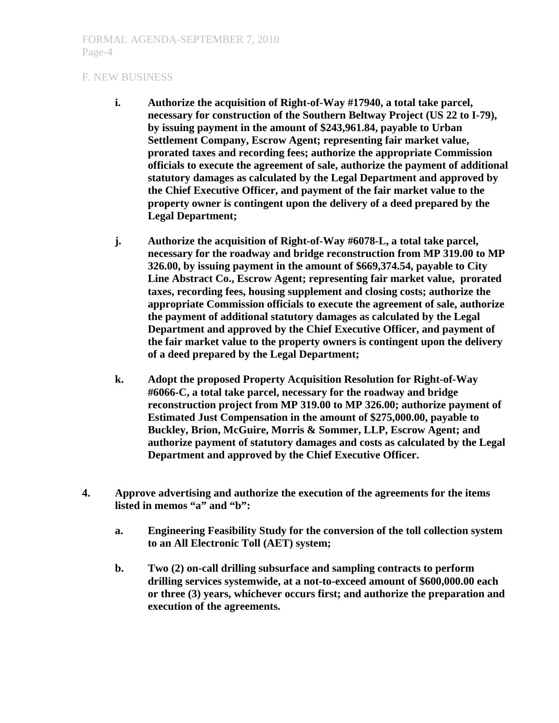- **i. Authorize the acquisition of Right-of-Way #17940, a total take parcel, necessary for construction of the Southern Beltway Project (US 22 to I-79), by issuing payment in the amount of \$243,961.84, payable to Urban Settlement Company, Escrow Agent; representing fair market value, prorated taxes and recording fees; authorize the appropriate Commission officials to execute the agreement of sale, authorize the payment of additional statutory damages as calculated by the Legal Department and approved by the Chief Executive Officer, and payment of the fair market value to the property owner is contingent upon the delivery of a deed prepared by the Legal Department;**
- **j. Authorize the acquisition of Right-of-Way #6078-L, a total take parcel, necessary for the roadway and bridge reconstruction from MP 319.00 to MP 326.00, by issuing payment in the amount of \$669,374.54, payable to City Line Abstract Co., Escrow Agent; representing fair market value, prorated taxes, recording fees, housing supplement and closing costs; authorize the appropriate Commission officials to execute the agreement of sale, authorize the payment of additional statutory damages as calculated by the Legal Department and approved by the Chief Executive Officer, and payment of the fair market value to the property owners is contingent upon the delivery of a deed prepared by the Legal Department;**
- **k. Adopt the proposed Property Acquisition Resolution for Right-of-Way #6066-C, a total take parcel, necessary for the roadway and bridge reconstruction project from MP 319.00 to MP 326.00; authorize payment of Estimated Just Compensation in the amount of \$275,000.00, payable to Buckley, Brion, McGuire, Morris & Sommer, LLP, Escrow Agent; and authorize payment of statutory damages and costs as calculated by the Legal Department and approved by the Chief Executive Officer.**
- **4. Approve advertising and authorize the execution of the agreements for the items**  listed in memos "a" and "b":
	- **a. Engineering Feasibility Study for the conversion of the toll collection system to an All Electronic Toll (AET) system;**
	- **b. Two (2) on-call drilling subsurface and sampling contracts to perform drilling services systemwide, at a not-to-exceed amount of \$600,000.00 each or three (3) years, whichever occurs first; and authorize the preparation and execution of the agreements.**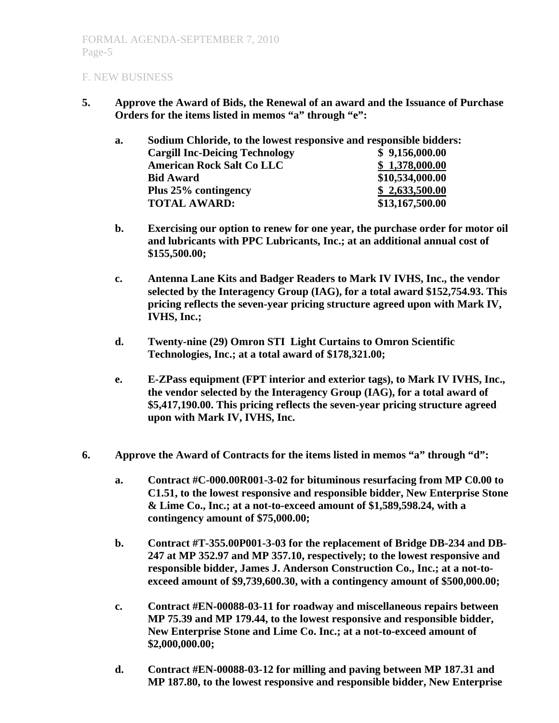**5. Approve the Award of Bids, the Renewal of an award and the Issuance of Purchase Orders for the items listed in memos "a" through "e":** 

| a. | Sodium Chloride, to the lowest responsive and responsible bidders: |                 |
|----|--------------------------------------------------------------------|-----------------|
|    | <b>Cargill Inc-Deicing Technology</b>                              | \$9,156,000.00  |
|    | <b>American Rock Salt Co LLC</b>                                   | \$1,378,000.00  |
|    | <b>Bid Award</b>                                                   | \$10,534,000.00 |
|    | Plus 25% contingency                                               | \$2,633,500.00  |
|    | <b>TOTAL AWARD:</b>                                                | \$13,167,500.00 |

- **b. Exercising our option to renew for one year, the purchase order for motor oil and lubricants with PPC Lubricants, Inc.; at an additional annual cost of \$155,500.00;**
- **c. Antenna Lane Kits and Badger Readers to Mark IV IVHS, Inc., the vendor selected by the Interagency Group (IAG), for a total award \$152,754.93. This pricing reflects the seven-year pricing structure agreed upon with Mark IV, IVHS, Inc.;**
- **d. Twenty-nine (29) Omron STI Light Curtains to Omron Scientific Technologies, Inc.; at a total award of \$178,321.00;**
- **e. E-ZPass equipment (FPT interior and exterior tags), to Mark IV IVHS, Inc., the vendor selected by the Interagency Group (IAG), for a total award of \$5,417,190.00. This pricing reflects the seven-year pricing structure agreed upon with Mark IV, IVHS, Inc.**
- **6. Approve the Award of Contracts for the items listed in memos "a" through "d":** 
	- **a. Contract #C-000.00R001-3-02 for bituminous resurfacing from MP C0.00 to C1.51, to the lowest responsive and responsible bidder, New Enterprise Stone & Lime Co., Inc.; at a not-to-exceed amount of \$1,589,598.24, with a contingency amount of \$75,000.00;**
	- **b. Contract #T-355.00P001-3-03 for the replacement of Bridge DB-234 and DB-247 at MP 352.97 and MP 357.10, respectively; to the lowest responsive and responsible bidder, James J. Anderson Construction Co., Inc.; at a not-toexceed amount of \$9,739,600.30, with a contingency amount of \$500,000.00;**
	- **c. Contract #EN-00088-03-11 for roadway and miscellaneous repairs between MP 75.39 and MP 179.44, to the lowest responsive and responsible bidder, New Enterprise Stone and Lime Co. Inc.; at a not-to-exceed amount of \$2,000,000.00;**
	- **d. Contract #EN-00088-03-12 for milling and paving between MP 187.31 and MP 187.80, to the lowest responsive and responsible bidder, New Enterprise**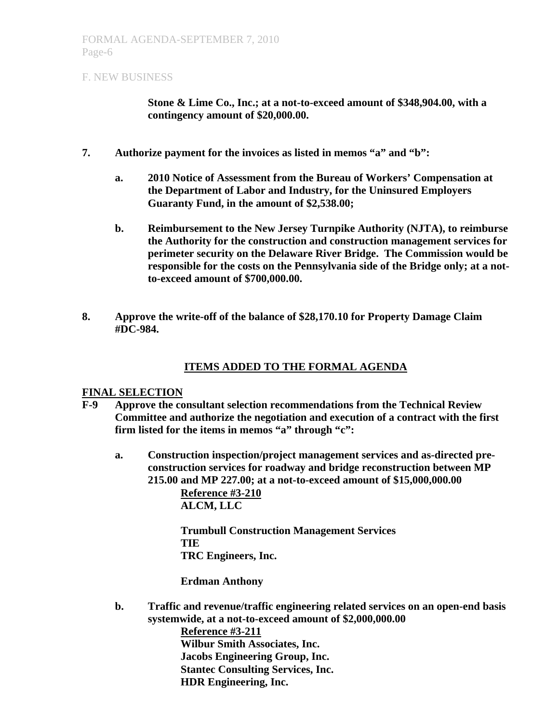**Stone & Lime Co., Inc.; at a not-to-exceed amount of \$348,904.00, with a contingency amount of \$20,000.00.** 

- **7. Authorize payment for the invoices as listed in memos "a" and "b":** 
	- **a. 2010 Notice of Assessment from the Bureau of Workers' Compensation at the Department of Labor and Industry, for the Uninsured Employers Guaranty Fund, in the amount of \$2,538.00;**
	- **b. Reimbursement to the New Jersey Turnpike Authority (NJTA), to reimburse the Authority for the construction and construction management services for perimeter security on the Delaware River Bridge. The Commission would be responsible for the costs on the Pennsylvania side of the Bridge only; at a notto-exceed amount of \$700,000.00.**
- **8. Approve the write-off of the balance of \$28,170.10 for Property Damage Claim #DC-984.**

## **ITEMS ADDED TO THE FORMAL AGENDA**

#### **FINAL SELECTION**

- **F-9 Approve the consultant selection recommendations from the Technical Review Committee and authorize the negotiation and execution of a contract with the first firm listed for the items in memos "a" through "c":** 
	- **a. Construction inspection/project management services and as-directed preconstruction services for roadway and bridge reconstruction between MP 215.00 and MP 227.00; at a not-to-exceed amount of \$15,000,000.00 Reference #3-210 ALCM, LLC**

**Trumbull Construction Management Services TIE TRC Engineers, Inc.** 

 **Erdman Anthony** 

**b. Traffic and revenue/traffic engineering related services on an open-end basis systemwide, at a not-to-exceed amount of \$2,000,000.00** 

> **Reference #3-211 Wilbur Smith Associates, Inc. Jacobs Engineering Group, Inc. Stantec Consulting Services, Inc. HDR Engineering, Inc.**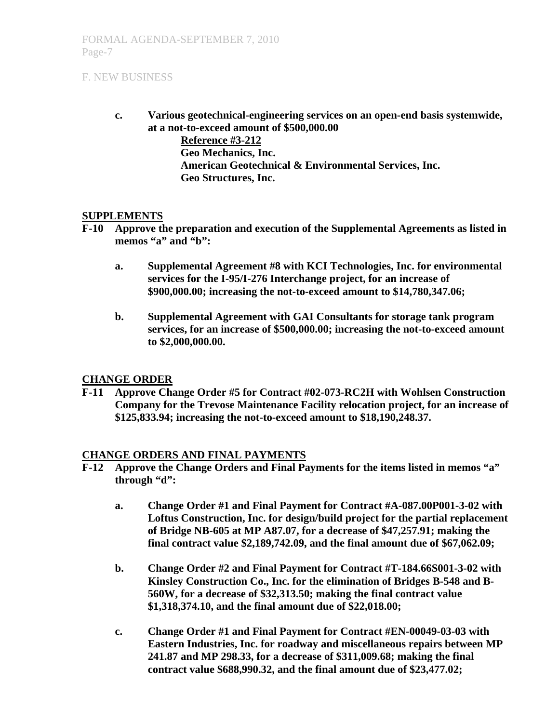**c. Various geotechnical-engineering services on an open-end basis systemwide, at a not-to-exceed amount of \$500,000.00** 

> **Reference #3-212 Geo Mechanics, Inc. American Geotechnical & Environmental Services, Inc. Geo Structures, Inc.**

#### **SUPPLEMENTS**

- **F-10 Approve the preparation and execution of the Supplemental Agreements as listed in**  memos "a" and "b":
	- **a. Supplemental Agreement #8 with KCI Technologies, Inc. for environmental services for the I-95/I-276 Interchange project, for an increase of \$900,000.00; increasing the not-to-exceed amount to \$14,780,347.06;**
	- **b. Supplemental Agreement with GAI Consultants for storage tank program services, for an increase of \$500,000.00; increasing the not-to-exceed amount to \$2,000,000.00.**

#### **CHANGE ORDER**

**F-11 Approve Change Order #5 for Contract #02-073-RC2H with Wohlsen Construction Company for the Trevose Maintenance Facility relocation project, for an increase of \$125,833.94; increasing the not-to-exceed amount to \$18,190,248.37.**

## **CHANGE ORDERS AND FINAL PAYMENTS**

- **F-12 Approve the Change Orders and Final Payments for the items listed in memos "a" through "d":** 
	- **a. Change Order #1 and Final Payment for Contract #A-087.00P001-3-02 with Loftus Construction, Inc. for design/build project for the partial replacement of Bridge NB-605 at MP A87.07, for a decrease of \$47,257.91; making the final contract value \$2,189,742.09, and the final amount due of \$67,062.09;**
	- **b. Change Order #2 and Final Payment for Contract #T-184.66S001-3-02 with Kinsley Construction Co., Inc. for the elimination of Bridges B-548 and B-560W, for a decrease of \$32,313.50; making the final contract value \$1,318,374.10, and the final amount due of \$22,018.00;**
	- **c. Change Order #1 and Final Payment for Contract #EN-00049-03-03 with Eastern Industries, Inc. for roadway and miscellaneous repairs between MP 241.87 and MP 298.33, for a decrease of \$311,009.68; making the final contract value \$688,990.32, and the final amount due of \$23,477.02;**